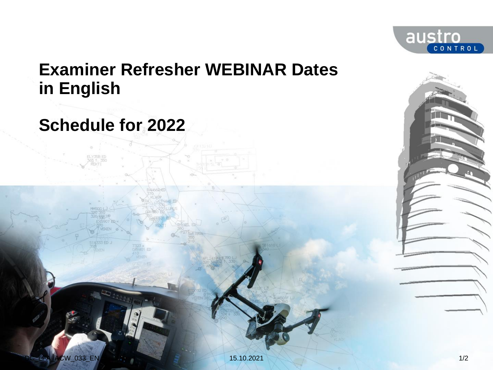

# **Examiner Refresher WEBINAR Dates in English**

# **Schedule for 2022**